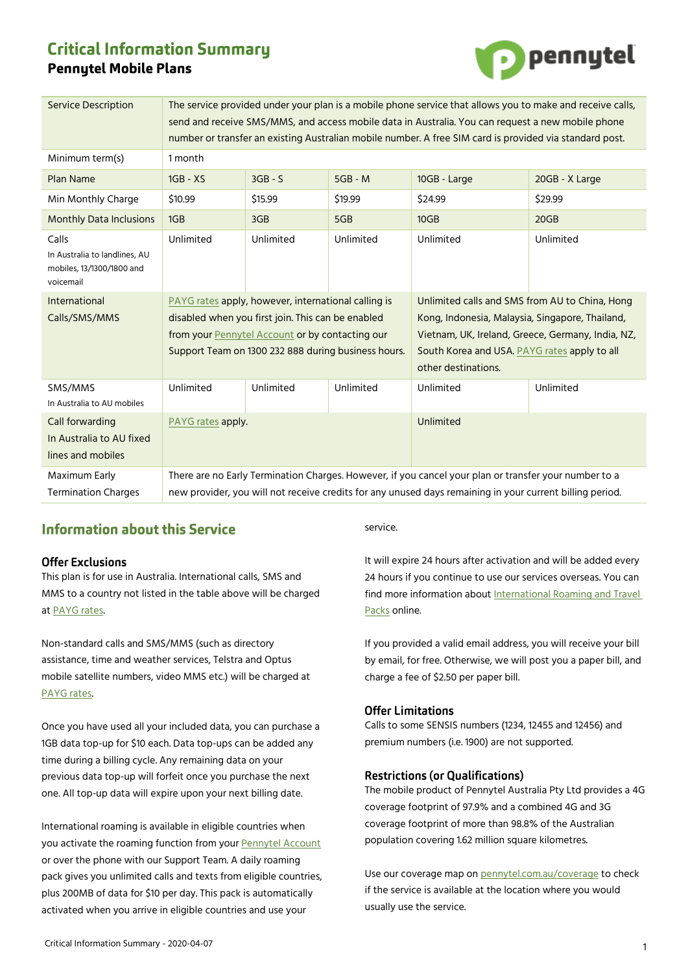# **Critical Information Summary Pennytel Mobile Plans**



| <b>Service Description</b>                                                       | The service provided under your plan is a mobile phone service that allows you to make and receive calls,<br>send and receive SMS/MMS, and access mobile data in Australia. You can request a new mobile phone<br>number or transfer an existing Australian mobile number. A free SIM card is provided via standard post. |           |           |                                                                                                                                                                                                                               |                |
|----------------------------------------------------------------------------------|---------------------------------------------------------------------------------------------------------------------------------------------------------------------------------------------------------------------------------------------------------------------------------------------------------------------------|-----------|-----------|-------------------------------------------------------------------------------------------------------------------------------------------------------------------------------------------------------------------------------|----------------|
| Minimum term(s)                                                                  | 1 month                                                                                                                                                                                                                                                                                                                   |           |           |                                                                                                                                                                                                                               |                |
| Plan Name                                                                        | $1GB - XS$                                                                                                                                                                                                                                                                                                                | $3GB - S$ | $5GB - M$ | 10GB - Large                                                                                                                                                                                                                  | 20GB - X Large |
| Min Monthly Charge                                                               | \$10.99                                                                                                                                                                                                                                                                                                                   | \$15.99   | \$19.99   | \$24.99                                                                                                                                                                                                                       | \$29.99        |
| <b>Monthly Data Inclusions</b>                                                   | 1GB                                                                                                                                                                                                                                                                                                                       | 3GB       | 5GB       | 10GB                                                                                                                                                                                                                          | 20GB           |
| Calls<br>In Australia to landlines, AU<br>mobiles, 13/1300/1800 and<br>voicemail | Unlimited                                                                                                                                                                                                                                                                                                                 | Unlimited | Unlimited | Unlimited                                                                                                                                                                                                                     | Unlimited      |
| <b>International</b><br>Calls/SMS/MMS                                            | PAYG rates apply, however, international calling is<br>disabled when you first join. This can be enabled<br>from your Pennytel Account or by contacting our<br>Support Team on 1300 232 888 during business hours.                                                                                                        |           |           | Unlimited calls and SMS from AU to China, Hong<br>Kong, Indonesia, Malaysia, Singapore, Thailand,<br>Vietnam, UK, Ireland, Greece, Germany, India, NZ,<br>South Korea and USA. PAYG rates apply to all<br>other destinations. |                |
| SMS/MMS<br>In Australia to AU mobiles                                            | Unlimited                                                                                                                                                                                                                                                                                                                 | Unlimited | Unlimited | Unlimited                                                                                                                                                                                                                     | Unlimited      |
| Call forwarding<br>In Australia to AU fixed<br>lines and mobiles                 | PAYG rates apply.                                                                                                                                                                                                                                                                                                         |           |           | Unlimited                                                                                                                                                                                                                     |                |
| Maximum Early<br><b>Termination Charges</b>                                      | There are no Early Termination Charges. However, if you cancel your plan or transfer your number to a<br>new provider, you will not receive credits for any unused days remaining in your current billing period.                                                                                                         |           |           |                                                                                                                                                                                                                               |                |

## **Information about this Service**

## **Offer Exclusions**

This plan is for use in Australia. International calls, SMS and MMS to a country not listed in the table above will be charged at [PAYG rates.](https://mnf.app.box.com/v/pt-payg-rates) 

Non-standard calls and SMS/MMS (such as directory assistance, time and weather services, Telstra and Optus mobile satellite numbers, video MMS etc.) will be charged at [PAYG rates.](https://mnf.box.com/v/pt-payg-rates) 

Once you have used all your included data, you can purchase a 1GB data top-up for \$10 each. Data top-ups can be added any time during a billing cycle. Any remaining data on your previous data top-up will forfeit once you purchase the next one. All top-up data will expire upon your next billing date.

International roaming is available in eligible countries when you activate the roaming function from your [Pennytel Account](https://account.pennytel.com.au/my-services) or over the phone with our Support Team. A daily roaming pack gives you unlimited calls and texts from eligible countries, plus 200MB of data for \$10 per day. This pack is automatically activated when you arrive in eligible countries and use your

service.

It will expire 24 hours after activation and will be added every 24 hours if you continue to use our services overseas. You can find more information abou[t International Roaming and Travel](https://mnf.box.com/v/pt-roaming-pack)  [Packs](https://mnf.box.com/v/pt-roaming-pack) online.

If you provided a valid email address, you will receive your bill by email, for free. Otherwise, we will post you a paper bill, and charge a fee of \$2.50 per paper bill.

## **Offer Limitations**

Calls to some SENSIS numbers (1234, 12455 and 12456) and premium numbers (i.e. 1900) are not supported.

#### **Restrictions (or Qualifications)**

The mobile product of Pennytel Australia Pty Ltd provides a 4G coverage footprint of 97.9% and a combined 4G and 3G coverage footprint of more than 98.8% of the Australian population covering 1.62 million square kilometres.

Use our coverage map on [pennytel.com.au/coverage](https://pennytel.com.au/coverage) to check if the service is available at the location where you would usually use the service.